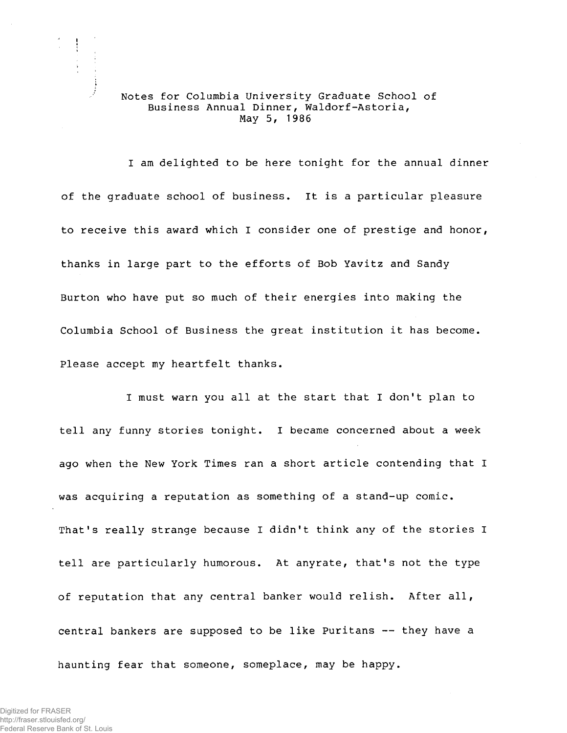## Notes for Columbia University Graduate School of Business Annual Dinner, Waldorf-Astoria, May 5, 1986

I am delighted to be here tonight for the annual dinner of the graduate school of business. It is a particular pleasure to receive this award which I consider one of prestige and honor, thanks in large part to the efforts of Bob Yavitz and Sandy Burton who have put so much of their energies into making the Columbia School of Business the great institution it has become. Please accept my heartfelt thanks.

I must warn you all at the start that I don't plan to tell any funny stories tonight. I became concerned about a week ago when the New York Times ran a short article contending that I was acquiring a reputation as something of a stand-up comic. That's really strange because I didn't think any of the stories I tell are particularly humorous. At anyrate, that's not the type of reputation that any central banker would relish. After all, central bankers are supposed to be like Puritans — they have a haunting fear that someone, someplace, may be happy.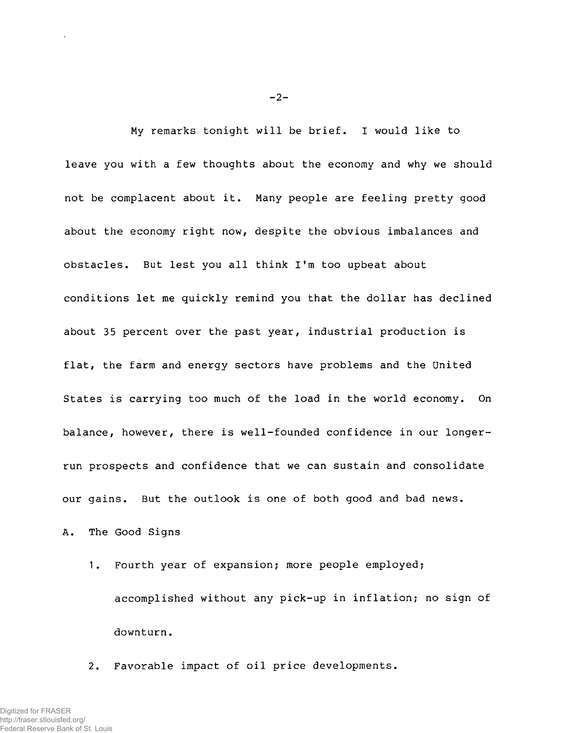My remarks tonight will be brief. I would like to leave you with a few thoughts about the economy and why we should not be complacent about it. Many people are feeling pretty good about the economy right now, despite the obvious imbalances and obstacles. But lest you all think I'm too upbeat about conditions let me quickly remind you that the dollar has declined about 35 percent over the past year, industrial production is flat, the farm and energy sectors have problems and the United States is carrying too much of the load in the world economy. On balance, however, there is well-founded confidence in our longerrun prospects and confidence that we can sustain and consolidate our gains. But the outlook is one of both good and bad news.

A. The Good Signs

1. Fourth year of expansion; more people employed; accomplished without any pick-up in inflation; no sign of downturn.

2. Favorable impact of oil price developments.

 $-2-$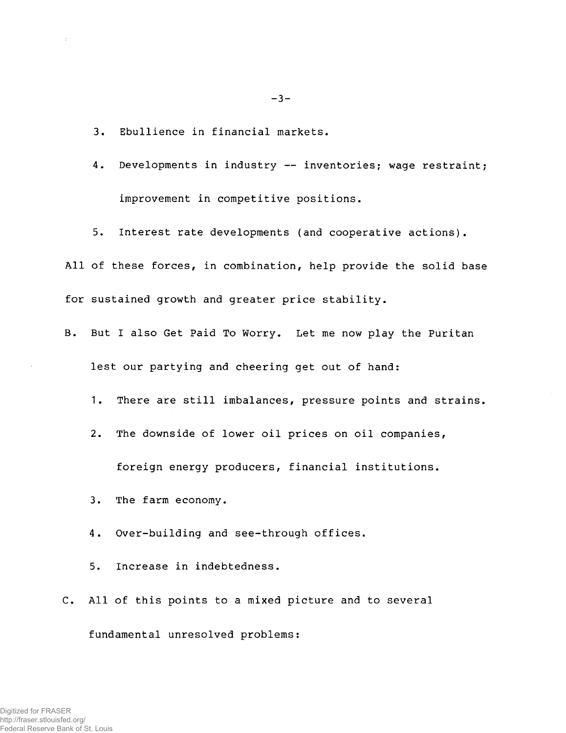3. Ebullience in financial markets.

4. Developments in industry — inventories; wage restraint; improvement in competitive positions.

5. Interest rate developments (and cooperative actions).

All of these forces, in combination, help provide the solid base for sustained growth and greater price stability.

- B. But I also Get Paid To Worry. Let me now play the Puritan lest our partying and cheering get out of hand:
	- 1. There are still imbalances, pressure points and strains.
	- 2. The downside of lower oil prices on oil companies,

foreign energy producers, financial institutions.

3. The farm economy.

4. Over-building and see-through offices.

5. Increase in indebtedness.

C. All of this points to a mixed picture and to several

fundamental unresolved problems:

Digitized for FRASER http://fraser.stlouisfed.org/ Federal Reserve Bank of St. Louis  $-3-$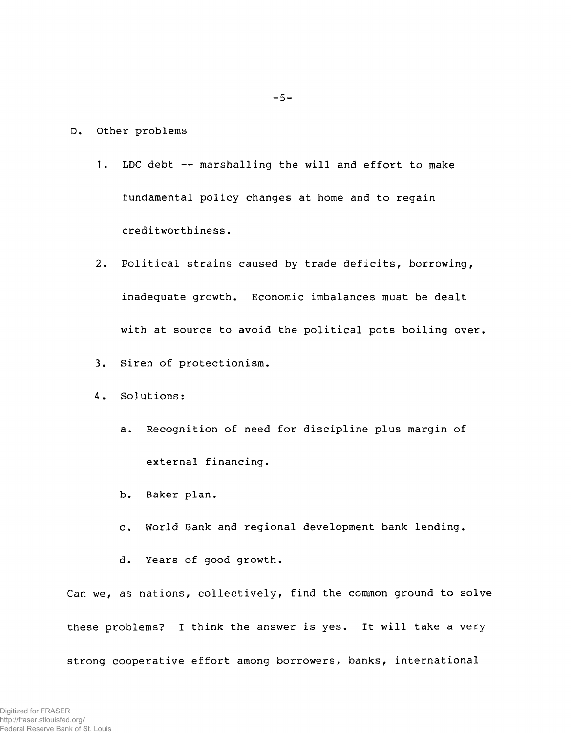- D. Other problems
	- 1. LDC debt marshalling the will and effort to make fundamental policy changes at home and to regain creditworthiness.
	- 2. Political strains caused by trade deficits, borrowing, inadequate growth. Economic imbalances must be dealt with at source to avoid the political pots boiling over.
	- 3. Siren of protectionism.
	- 4. Solutions:
		- a. Recognition of need for discipline plus margin of external financing.
		- b. Baker plan.
		- c. World Bank and regional development bank lending.
		- d. Years of good growth.

Can we, as nations, collectively, find the common ground to solve these problems? I think the answer is yes. It will take a very strong cooperative effort among borrowers, banks, international